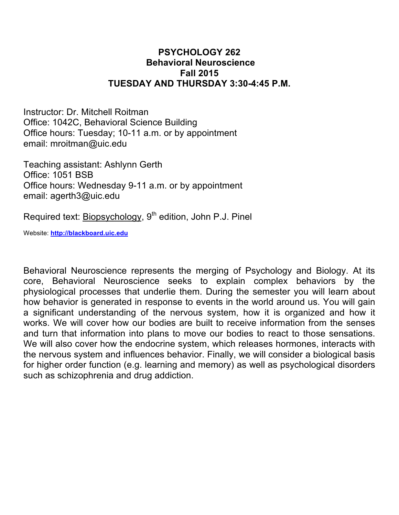## **PSYCHOLOGY 262 Behavioral Neuroscience Fall 2015 TUESDAY AND THURSDAY 3:30-4:45 P.M.**

Instructor: Dr. Mitchell Roitman Office: 1042C, Behavioral Science Building Office hours: Tuesday; 10-11 a.m. or by appointment email: mroitman@uic.edu

Teaching assistant: Ashlynn Gerth Office: 1051 BSB Office hours: Wednesday 9-11 a.m. or by appointment email: agerth3@uic.edu

Required text: Biopsychology, 9<sup>th</sup> edition, John P.J. Pinel

Website: **http://blackboard.uic.edu**

Behavioral Neuroscience represents the merging of Psychology and Biology. At its core, Behavioral Neuroscience seeks to explain complex behaviors by the physiological processes that underlie them. During the semester you will learn about how behavior is generated in response to events in the world around us. You will gain a significant understanding of the nervous system, how it is organized and how it works. We will cover how our bodies are built to receive information from the senses and turn that information into plans to move our bodies to react to those sensations. We will also cover how the endocrine system, which releases hormones, interacts with the nervous system and influences behavior. Finally, we will consider a biological basis for higher order function (e.g. learning and memory) as well as psychological disorders such as schizophrenia and drug addiction.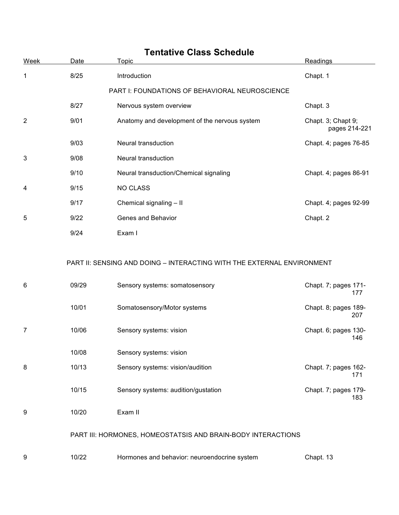| <b>Tentative Class Schedule</b> |       |                                                                                                          |                                     |  |
|---------------------------------|-------|----------------------------------------------------------------------------------------------------------|-------------------------------------|--|
| Week                            | Date  | Topic                                                                                                    | Readings                            |  |
| 1                               | 8/25  | Introduction                                                                                             | Chapt. 1                            |  |
|                                 |       | PART I: FOUNDATIONS OF BEHAVIORAL NEUROSCIENCE                                                           |                                     |  |
|                                 | 8/27  | Nervous system overview                                                                                  | Chapt. 3                            |  |
| $\overline{2}$                  | 9/01  | Anatomy and development of the nervous system                                                            | Chapt. 3; Chapt 9;<br>pages 214-221 |  |
|                                 | 9/03  | Neural transduction                                                                                      | Chapt. 4; pages 76-85               |  |
| 3                               | 9/08  | Neural transduction                                                                                      |                                     |  |
|                                 | 9/10  | Neural transduction/Chemical signaling                                                                   | Chapt. 4; pages 86-91               |  |
| 4                               | 9/15  | <b>NO CLASS</b>                                                                                          |                                     |  |
|                                 | 9/17  | Chemical signaling - II                                                                                  | Chapt. 4; pages 92-99               |  |
| 5                               | 9/22  | Genes and Behavior                                                                                       | Chapt. 2                            |  |
|                                 | 9/24  | Exam I                                                                                                   |                                     |  |
| 6                               | 09/29 | PART II: SENSING AND DOING - INTERACTING WITH THE EXTERNAL ENVIRONMENT<br>Sensory systems: somatosensory | Chapt. 7; pages 171-<br>177         |  |
|                                 | 10/01 | Somatosensory/Motor systems                                                                              | Chapt. 8; pages 189-<br>207         |  |
| 7                               | 10/06 | Sensory systems: vision                                                                                  | Chapt. 6; pages 130-<br>146         |  |
|                                 | 10/08 | Sensory systems: vision                                                                                  |                                     |  |
| 8                               | 10/13 | Sensory systems: vision/audition                                                                         | Chapt. 7; pages 162-<br>171         |  |
|                                 | 10/15 | Sensory systems: audition/gustation                                                                      | Chapt. 7; pages 179-<br>183         |  |
| 9                               | 10/20 | Exam II                                                                                                  |                                     |  |
|                                 |       | PART III: HORMONES, HOMEOSTATSIS AND BRAIN-BODY INTERACTIONS                                             |                                     |  |
| 9                               | 10/22 | Hormones and behavior: neuroendocrine system                                                             | Chapt. 13                           |  |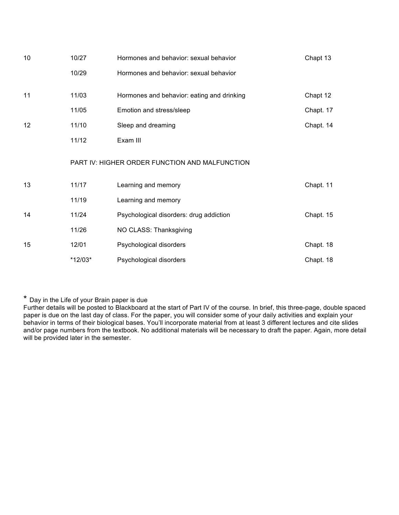| 10 | 10/27   | Hormones and behavior: sexual behavior         | Chapt 13  |
|----|---------|------------------------------------------------|-----------|
|    | 10/29   | Hormones and behavior: sexual behavior         |           |
| 11 | 11/03   | Hormones and behavior: eating and drinking     | Chapt 12  |
|    | 11/05   | Emotion and stress/sleep                       | Chapt. 17 |
| 12 | 11/10   | Sleep and dreaming                             | Chapt. 14 |
|    | 11/12   | Exam III                                       |           |
|    |         | PART IV: HIGHER ORDER FUNCTION AND MALFUNCTION |           |
| 13 | 11/17   | Learning and memory                            | Chapt. 11 |
|    | 11/19   | Learning and memory                            |           |
| 14 | 11/24   | Psychological disorders: drug addiction        | Chapt. 15 |
|    | 11/26   | NO CLASS: Thanksgiving                         |           |
| 15 | 12/01   | Psychological disorders                        | Chapt. 18 |
|    | *12/03* | Psychological disorders                        | Chapt. 18 |

\* Day in the Life of your Brain paper is due

Further details will be posted to Blackboard at the start of Part IV of the course. In brief, this three-page, double spaced paper is due on the last day of class. For the paper, you will consider some of your daily activities and explain your behavior in terms of their biological bases. You'll incorporate material from at least 3 different lectures and cite slides and/or page numbers from the textbook. No additional materials will be necessary to draft the paper. Again, more detail will be provided later in the semester.